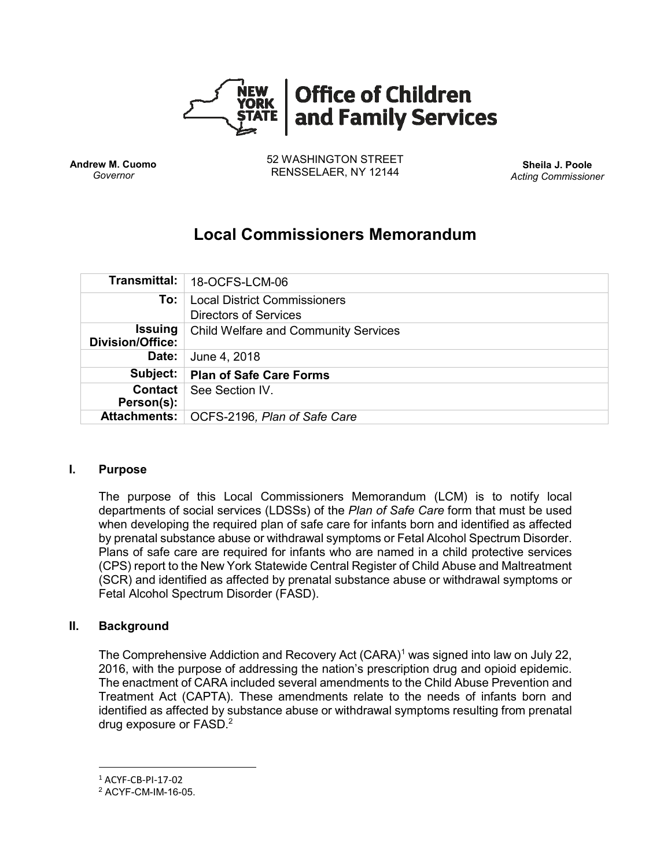

**Andrew M. Cuomo** *Governor*

52 WASHINGTON STREET RENSSELAER, NY 12144 **Sheila J. Poole**

*Acting Commissioner*

# **Local Commissioners Memorandum**

|                                           | Transmittal:   18-OCFS-LCM-06                                       |
|-------------------------------------------|---------------------------------------------------------------------|
| To:                                       | <b>Local District Commissioners</b><br><b>Directors of Services</b> |
| <b>Issuing</b><br><b>Division/Office:</b> | <b>Child Welfare and Community Services</b>                         |
| Date:                                     | June 4, 2018                                                        |
| Subject:                                  | <b>Plan of Safe Care Forms</b>                                      |
| <b>Contact</b><br>Person(s):              | See Section IV.                                                     |
|                                           | Attachments:   OCFS-2196, Plan of Safe Care                         |

#### **I. Purpose**

The purpose of this Local Commissioners Memorandum (LCM) is to notify local departments of social services (LDSSs) of the *Plan of Safe Care* form that must be used when developing the required plan of safe care for infants born and identified as affected by prenatal substance abuse or withdrawal symptoms or Fetal Alcohol Spectrum Disorder. Plans of safe care are required for infants who are named in a child protective services (CPS) report to the New York Statewide Central Register of Child Abuse and Maltreatment (SCR) and identified as affected by prenatal substance abuse or withdrawal symptoms or Fetal Alcohol Spectrum Disorder (FASD).

#### **II. Background**

The Comprehensive Addiction and Recovery Act (CARA)<sup>1</sup> was signed into law on July 22, 2016, with the purpose of addressing the nation's prescription drug and opioid epidemic. The enactment of CARA included several amendments to the Child Abuse Prevention and Treatment Act (CAPTA). These amendments relate to the needs of infants born and identified as affected by substance abuse or withdrawal symptoms resulting from prenatal drug exposure or FASD.<sup>2</sup>

 $\overline{\phantom{a}}$ 

<sup>1</sup> ACYF-CB-PI-17-02

<sup>2</sup> ACYF-CM-IM-16-05.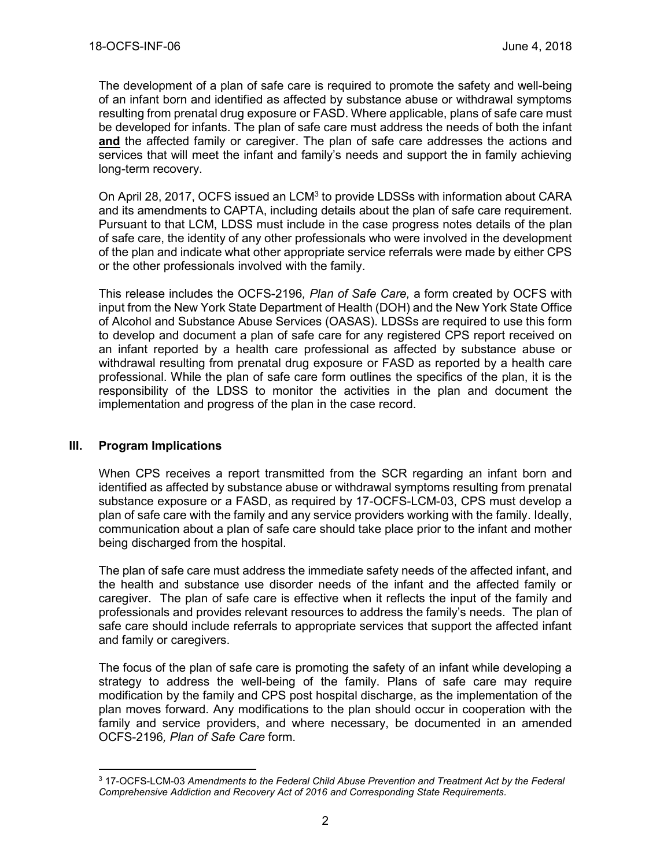The development of a plan of safe care is required to promote the safety and well-being of an infant born and identified as affected by substance abuse or withdrawal symptoms resulting from prenatal drug exposure or FASD. Where applicable, plans of safe care must be developed for infants. The plan of safe care must address the needs of both the infant **and** the affected family or caregiver. The plan of safe care addresses the actions and services that will meet the infant and family's needs and support the in family achieving long-term recovery.

On April 28, 2017, OCFS issued an LCM<sup>3</sup> to provide LDSSs with information about CARA and its amendments to CAPTA, including details about the plan of safe care requirement. Pursuant to that LCM, LDSS must include in the case progress notes details of the plan of safe care, the identity of any other professionals who were involved in the development of the plan and indicate what other appropriate service referrals were made by either CPS or the other professionals involved with the family.

This release includes the OCFS-2196*, Plan of Safe Care,* a form created by OCFS with input from the New York State Department of Health (DOH) and the New York State Office of Alcohol and Substance Abuse Services (OASAS). LDSSs are required to use this form to develop and document a plan of safe care for any registered CPS report received on an infant reported by a health care professional as affected by substance abuse or withdrawal resulting from prenatal drug exposure or FASD as reported by a health care professional. While the plan of safe care form outlines the specifics of the plan, it is the responsibility of the LDSS to monitor the activities in the plan and document the implementation and progress of the plan in the case record.

#### **III. Program Implications**

 $\overline{\phantom{a}}$ 

When CPS receives a report transmitted from the SCR regarding an infant born and identified as affected by substance abuse or withdrawal symptoms resulting from prenatal substance exposure or a FASD, as required by 17-OCFS-LCM-03, CPS must develop a plan of safe care with the family and any service providers working with the family. Ideally, communication about a plan of safe care should take place prior to the infant and mother being discharged from the hospital.

The plan of safe care must address the immediate safety needs of the affected infant, and the health and substance use disorder needs of the infant and the affected family or caregiver. The plan of safe care is effective when it reflects the input of the family and professionals and provides relevant resources to address the family's needs. The plan of safe care should include referrals to appropriate services that support the affected infant and family or caregivers.

The focus of the plan of safe care is promoting the safety of an infant while developing a strategy to address the well-being of the family. Plans of safe care may require modification by the family and CPS post hospital discharge, as the implementation of the plan moves forward. Any modifications to the plan should occur in cooperation with the family and service providers, and where necessary, be documented in an amended OCFS-2196*, Plan of Safe Care* form.

<sup>3</sup> 17-OCFS-LCM-03 *Amendments to the Federal Child Abuse Prevention and Treatment Act by the Federal Comprehensive Addiction and Recovery Act of 2016 and Corresponding State Requirements.*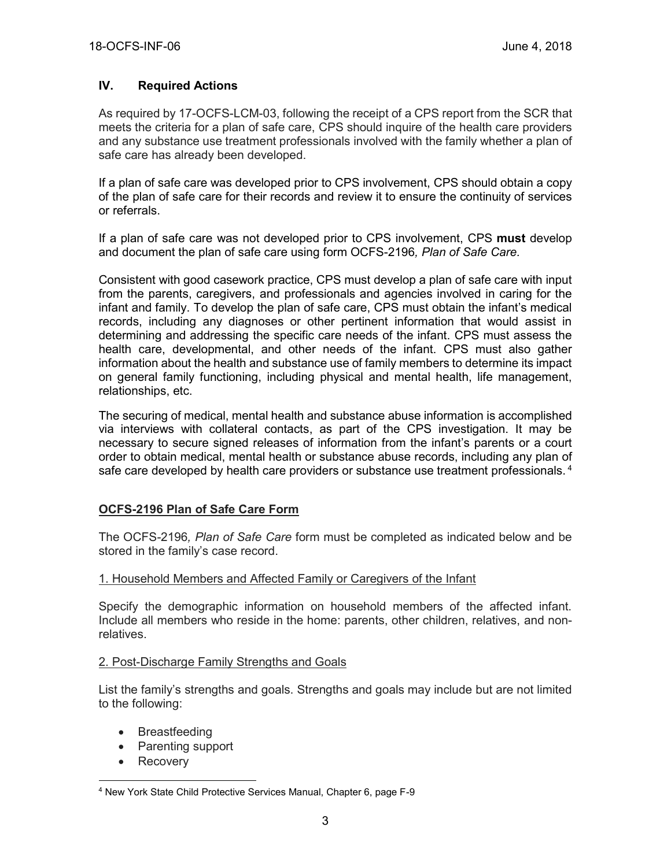#### **IV. Required Actions**

As required by 17-OCFS-LCM-03, following the receipt of a CPS report from the SCR that meets the criteria for a plan of safe care, CPS should inquire of the health care providers and any substance use treatment professionals involved with the family whether a plan of safe care has already been developed.

If a plan of safe care was developed prior to CPS involvement, CPS should obtain a copy of the plan of safe care for their records and review it to ensure the continuity of services or referrals.

If a plan of safe care was not developed prior to CPS involvement, CPS **must** develop and document the plan of safe care using form OCFS-2196*, Plan of Safe Care.*

Consistent with good casework practice, CPS must develop a plan of safe care with input from the parents, caregivers, and professionals and agencies involved in caring for the infant and family. To develop the plan of safe care, CPS must obtain the infant's medical records, including any diagnoses or other pertinent information that would assist in determining and addressing the specific care needs of the infant. CPS must assess the health care, developmental, and other needs of the infant. CPS must also gather information about the health and substance use of family members to determine its impact on general family functioning, including physical and mental health, life management, relationships, etc.

The securing of medical, mental health and substance abuse information is accomplished via interviews with collateral contacts, as part of the CPS investigation. It may be necessary to secure signed releases of information from the infant's parents or a court order to obtain medical, mental health or substance abuse records, including any plan of safe care developed by health care providers or substance use treatment professionals.<sup>4</sup>

#### **OCFS-2196 Plan of Safe Care Form**

The OCFS*-*2196*, Plan of Safe Care* form must be completed as indicated below and be stored in the family's case record.

#### 1. Household Members and Affected Family or Caregivers of the Infant

Specify the demographic information on household members of the affected infant. Include all members who reside in the home: parents, other children, relatives, and nonrelatives.

#### 2. Post-Discharge Family Strengths and Goals

List the family's strengths and goals. Strengths and goals may include but are not limited to the following:

- Breastfeeding
- Parenting support
- Recovery

 $\overline{a}$ <sup>4</sup> New York State Child Protective Services Manual, Chapter 6, page F-9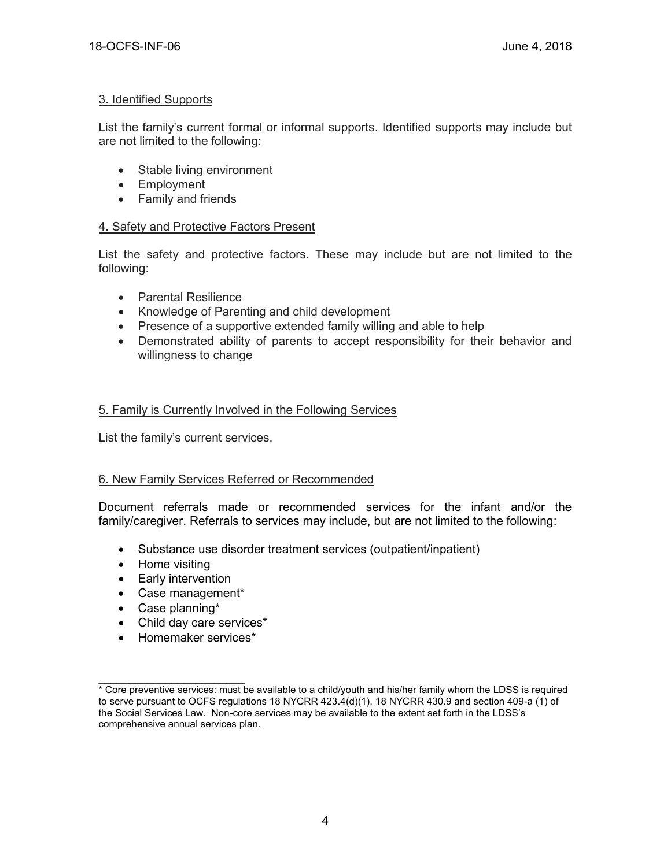## 3. Identified Supports

List the family's current formal or informal supports. Identified supports may include but are not limited to the following:

- Stable living environment
- Employment
- Family and friends

# 4. Safety and Protective Factors Present

List the safety and protective factors. These may include but are not limited to the following:

- Parental Resilience
- Knowledge of Parenting and child development
- Presence of a supportive extended family willing and able to help
- Demonstrated ability of parents to accept responsibility for their behavior and willingness to change

# 5. Family is Currently Involved in the Following Services

List the family's current services.

# 6. New Family Services Referred or Recommended

Document referrals made or recommended services for the infant and/or the family/caregiver. Referrals to services may include, but are not limited to the following:

- Substance use disorder treatment services (outpatient/inpatient)
- Home visiting
- Early intervention
- Case management\*
- Case planning\*
- Child day care services\*
- Homemaker services\*

 $\overline{\phantom{a}}$  , and the set of the set of the set of the set of the set of the set of the set of the set of the set of the set of the set of the set of the set of the set of the set of the set of the set of the set of the s \* Core preventive services: must be available to a child/youth and his/her family whom the LDSS is required to serve pursuant to OCFS regulations 18 NYCRR 423.4(d)(1), 18 NYCRR 430.9 and section 409-a (1) of the Social Services Law. Non-core services may be available to the extent set forth in the LDSS's comprehensive annual services plan.